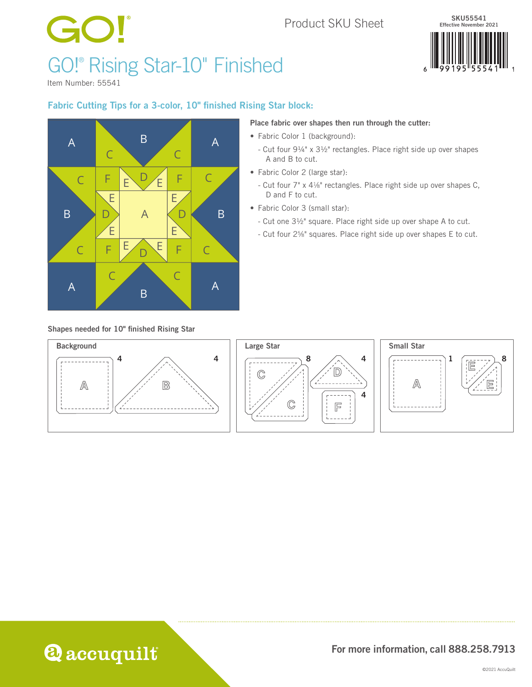## Product SKU Sheet

# GO! GO!® Rising Star-10" Finished



Item Number: 55541

## Fabric Cutting Tips for a 3-color, 10" finished Rising Star block:



#### Place fabric over shapes then run through the cutter:

- Fabric Color 1 (background):
	- Cut four 9¼" x 3½" rectangles. Place right side up over shapes A and B to cut.
- Fabric Color 2 (large star):
	- Cut four 7" x 41⁄8" rectangles. Place right side up over shapes C, D and F to cut.
- Fabric Color 3 (small star):
	- Cut one 3½" square. Place right side up over shape A to cut.
	- Cut four 25⁄8" squares. Place right side up over shapes E to cut.

#### Shapes needed for 10" finished Rising Star









## For more information, call 888.258.7913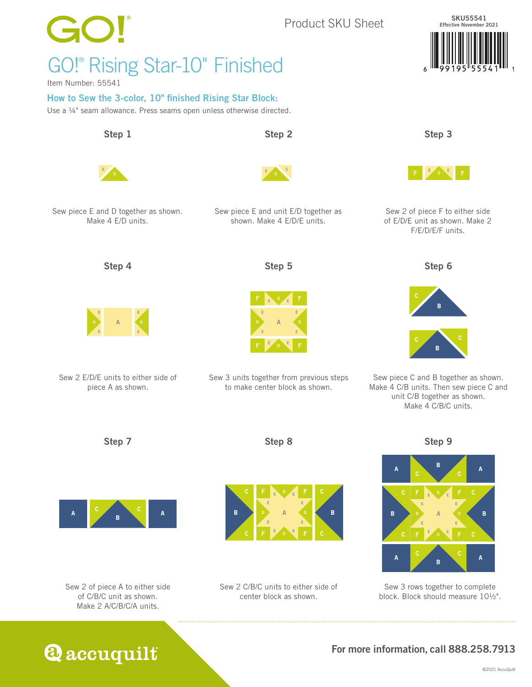

**Q** accuquilt

## For more information, call 888.258.7913